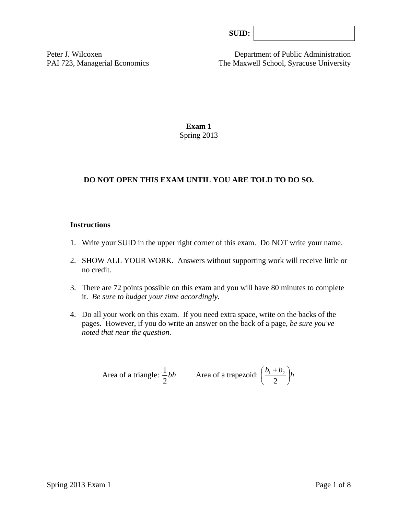Peter J. Wilcoxen Department of Public Administration PAI 723, Managerial Economics The Maxwell School, Syracuse University

> **Exam 1**  Spring 2013

## **DO NOT OPEN THIS EXAM UNTIL YOU ARE TOLD TO DO SO.**

### **Instructions**

- 1. Write your SUID in the upper right corner of this exam. Do NOT write your name.
- 2. SHOW ALL YOUR WORK. Answers without supporting work will receive little or no credit.
- 3. There are 72 points possible on this exam and you will have 80 minutes to complete it. *Be sure to budget your time accordingly.*
- 4. Do all your work on this exam. If you need extra space, write on the backs of the pages. However, if you do write an answer on the back of a page, *be sure you've noted that near the question*.

Area of a triangle: 
$$
\frac{1}{2}bh
$$
 Area of a trapezoid:  $\left(\frac{b_1 + b_2}{2}\right)h$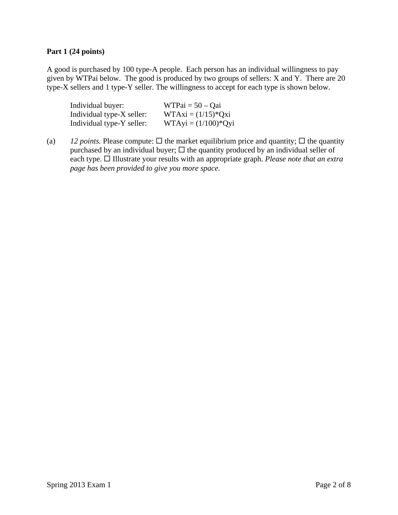### **Part 1 (24 points)**

A good is purchased by 100 type-A people. Each person has an individual willingness to pay given by WTPai below. The good is produced by two groups of sellers: X and Y. There are 20 type-X sellers and 1 type-Y seller. The willingness to accept for each type is shown below.

| Individual buyer:         | $WTPai = 50 - Qai$    |
|---------------------------|-----------------------|
| Individual type-X seller: | $WTAxi = (1/15)*Qxi$  |
| Individual type-Y seller: | $WTAyi = (1/100)*Qyi$ |

(a) *12 points.* Please compute:  $\Box$  the market equilibrium price and quantity;  $\Box$  the quantity purchased by an individual buyer;  $\Box$  the quantity produced by an individual seller of each type. □ Illustrate your results with an appropriate graph. *Please note that an extra page has been provided to give you more space.*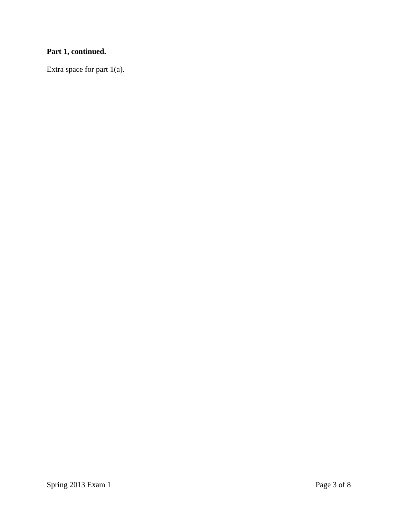# **Part 1, continued.**

Extra space for part 1(a).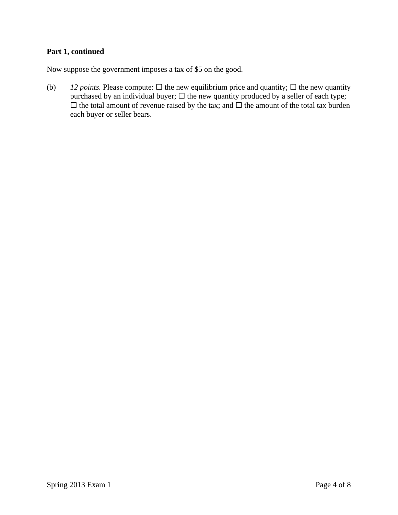# **Part 1, continued**

Now suppose the government imposes a tax of \$5 on the good.

(b) *12 points.* Please compute:  $\Box$  the new equilibrium price and quantity;  $\Box$  the new quantity purchased by an individual buyer;  $\Box$  the new quantity produced by a seller of each type;  $\Box$  the total amount of revenue raised by the tax; and  $\Box$  the amount of the total tax burden each buyer or seller bears.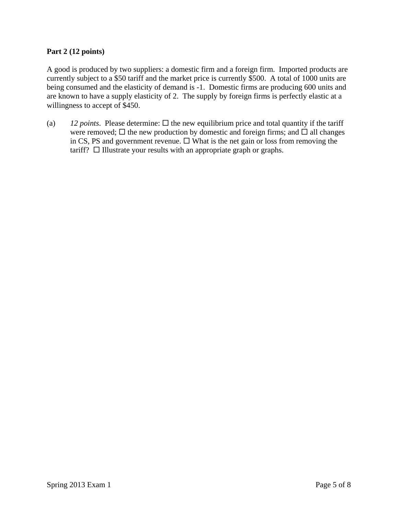### **Part 2 (12 points)**

A good is produced by two suppliers: a domestic firm and a foreign firm. Imported products are currently subject to a \$50 tariff and the market price is currently \$500. A total of 1000 units are being consumed and the elasticity of demand is -1. Domestic firms are producing 600 units and are known to have a supply elasticity of 2. The supply by foreign firms is perfectly elastic at a willingness to accept of \$450.

(a)  $12$  *points*. Please determine:  $\Box$  the new equilibrium price and total quantity if the tariff were removed;  $\Box$  the new production by domestic and foreign firms; and  $\Box$  all changes in CS, PS and government revenue.  $\Box$  What is the net gain or loss from removing the tariff?  $\Box$  Illustrate your results with an appropriate graph or graphs.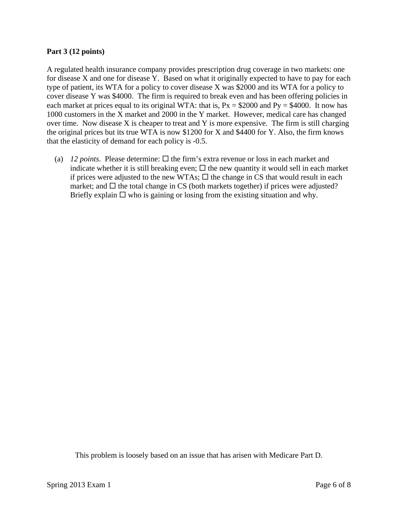### **Part 3 (12 points)**

A regulated health insurance company provides prescription drug coverage in two markets: one for disease X and one for disease Y. Based on what it originally expected to have to pay for each type of patient, its WTA for a policy to cover disease X was \$2000 and its WTA for a policy to cover disease Y was \$4000. The firm is required to break even and has been offering policies in each market at prices equal to its original WTA: that is,  $Px = $2000$  and  $Py = $4000$ . It now has 1000 customers in the X market and 2000 in the Y market. However, medical care has changed over time. Now disease X is cheaper to treat and Y is more expensive. The firm is still charging the original prices but its true WTA is now \$1200 for X and \$4400 for Y. Also, the firm knows that the elasticity of demand for each policy is -0.5.

(a) *12 points*. Please determine:  $\Box$  the firm's extra revenue or loss in each market and indicate whether it is still breaking even;  $\Box$  the new quantity it would sell in each market if prices were adjusted to the new WTAs;  $\Box$  the change in CS that would result in each market; and  $\Box$  the total change in CS (both markets together) if prices were adjusted? Briefly explain  $\Box$  who is gaining or losing from the existing situation and why.

This problem is loosely based on an issue that has arisen with Medicare Part D.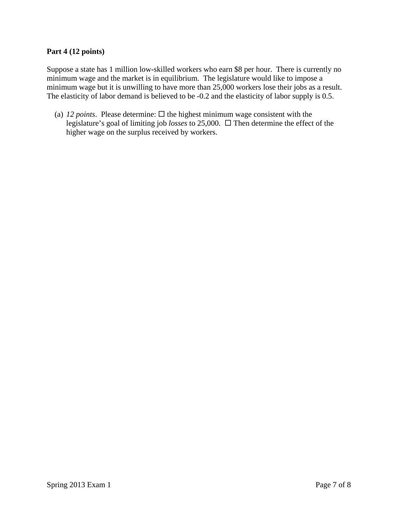### **Part 4 (12 points)**

Suppose a state has 1 million low-skilled workers who earn \$8 per hour. There is currently no minimum wage and the market is in equilibrium. The legislature would like to impose a minimum wage but it is unwilling to have more than 25,000 workers lose their jobs as a result. The elasticity of labor demand is believed to be -0.2 and the elasticity of labor supply is 0.5.

(a) *12 points*. Please determine:  $\Box$  the highest minimum wage consistent with the legislature's goal of limiting job *losses* to 25,000. Then determine the effect of the higher wage on the surplus received by workers.